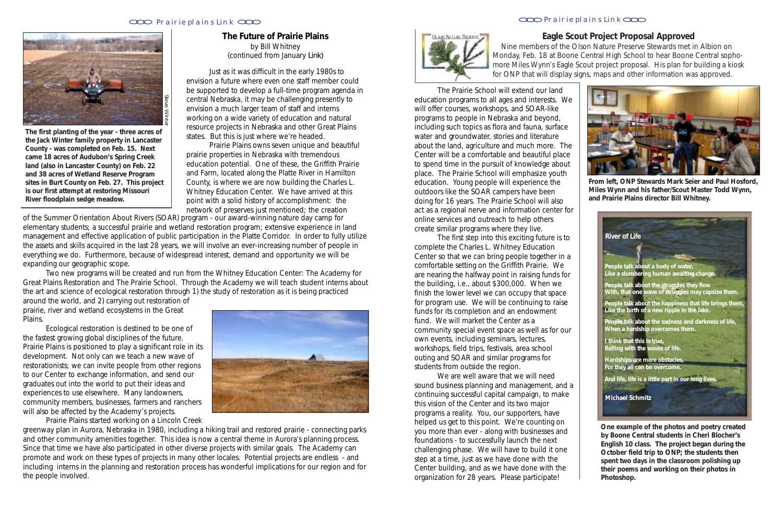Nine members of the Olson Nature Preserve Stewards met in Albion on Monday, Feb. 18 at Boone Central High School to hear Boone Central sophomore Miles Wynn's Eagle Scout project proposal. His plan for building a kiosk for ONP that will display signs, maps and other information was approved.

## **Eagle Scout Project Proposal Approved**



**From left, ONP Stewards Mark Seier and Paul Hosford, Miles Wynn and his father/Scout Master Todd Wynn, and Prairie Plains director Bill Whitney.**

### **The Future of Prairie Plains** by Bill Whitney (continued from January *Link)*

Just as it was difficult in the early 1980s to envision a future where even one staff member could be supported to develop a full-time program agenda in central Nebraska, it may be challenging presently to envision a much larger team of staff and interns working on a wide variety of education and natural resource projects in Nebraska and other Great Plains states. But this is just where we're headed.

Prairie Plains owns seven unique and beautiful prairie properties in Nebraska with tremendous education potential. One of these, the Griffith Prairie and Farm, located along the Platte River in Hamilton County, is where we are now building the Charles L. Whitney Education Center. We have arrived at this point with a solid history of accomplishment: the network of preserves just mentioned; the creation

**The first planting of the year - three acres of the Jack Winter family property in Lancaster County - was completed on Feb. 15. Next came 18 acres of Audubon's Spring Creek land (also in Lancaster County) on Feb. 22 and 38 acres of Wetland Reserve Program sites in Burt County on Feb. 27. This project is our first attempt at restoring Missouri River floodplain sedge meadow.**



of the Summer Orientation About Rivers (SOAR) program - our award-winning nature day camp for elementary students; a successful prairie and wetland restoration program; extensive experience in land management and effective application of public participation in the Platte Corridor. In order to fully utilize the assets and skills acquired in the last 28 years, we will involve an ever-increasing number of people in everything we do. Furthermore, because of widespread interest, demand and opportunity we will be expanding our geographic scope.

Two new programs will be created and run from the Whitney Education Center: The Academy for Great Plains Restoration and The Prairie School. Through the Academy we will teach student interns about the art and science of ecological restoration through 1) the study of restoration as it is being practiced

around the world, and 2) carrying out restoration of prairie, river and wetland ecosystems in the Great Plains.

Ecological restoration is destined to be one of the fastest growing global disciplines of the future. Prairie Plains is positioned to play a significant role in its development. Not only can we teach a new wave of restorationists; we can invite people from other regions to our Center to exchange information, and send our graduates out into the world to put their ideas and experiences to use elsewhere. Many landowners, community members, businesses, farmers and ranchers will also be affected by the Academy's projects.

Prairie Plains started working on a Lincoln Creek



greenway plan in Aurora, Nebraska in 1980, including a hiking trail and restored prairie - connecting parks and other community amenities together. This idea is now a central theme in Aurora's planning process. Since that time we have also participated in other diverse projects with similar goals. The Academy can promote and work on these types of projects in many other locales. Potential projects are endless - and including interns in the planning and restoration process has wonderful implications for our region and for the people involved.



The Prairie School will extend our land education programs to all ages and interests. We will offer courses, workshops, and SOAR-like programs to people in Nebraska and beyond, including such topics as flora and fauna, surface water and groundwater, stories and literature about the land, agriculture and much more. The Center will be a comfortable and beautiful place to spend time in the pursuit of knowledge about place. The Prairie School will emphasize youth education. Young people will experience the outdoors like the SOAR campers have been doing for 16 years. The Prairie School will also act as a regional nerve and information center for online services and outreach to help others create similar programs where they live.

The first step into this exciting future is to complete the Charles L. Whitney Education Center so that we can bring people together in a comfortable setting on the Griffith Prairie. We are nearing the halfway point in raising funds for the building, i.e., about \$300,000. When we finish the lower level we can occupy that space for program use. We will be continuing to raise funds for its completion and an endowment fund. We will market the Center as a community special event space as well as for our own events, including seminars, lectures, workshops, field trips, festivals, area school outing and SOAR and similar programs for students from outside the region.

We are well aware that we will need sound business planning and management, and a continuing successful capital campaign, to make this vision of the Center and its two major programs a reality. You, our supporters, have helped us get to this point. We're counting on you more than ever - along with businesses and foundations - to successfully launch the next challenging phase. We will have to build it one step at a time, just as we have done with the Center building, and as we have done with the organization for 28 years. Please participate!

### Prairie plains Link COO **Prairie plains Link** COO **Prairie plains Link COO**

**One example of the photos and poetry created by Boone Central students in Cheri Blocher's English 10 class. The project began during the October field trip to ONP; the students then spent two days in the classroom polishing up their poems and working on their photos in Photoshop.**